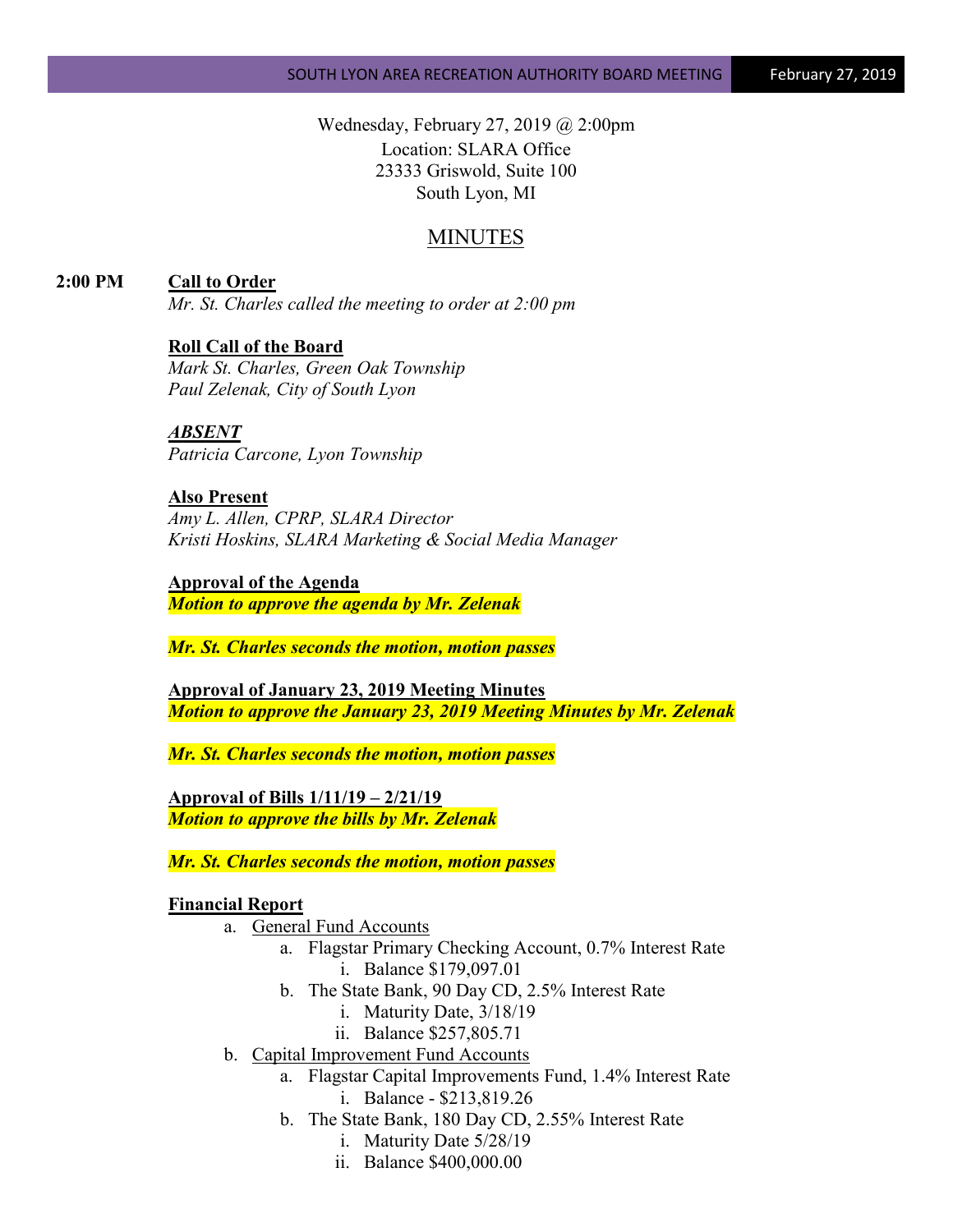Wednesday, February 27, 2019 @ 2:00pm Location: SLARA Office 23333 Griswold, Suite 100 South Lyon, MI

# MINUTES

**2:00 PM Call to Order**

*Mr. St. Charles called the meeting to order at 2:00 pm*

## **Roll Call of the Board**

*Mark St. Charles, Green Oak Township Paul Zelenak, City of South Lyon*

*ABSENT Patricia Carcone, Lyon Township*

**Also Present** *Amy L. Allen, CPRP, SLARA Director Kristi Hoskins, SLARA Marketing & Social Media Manager*

**Approval of the Agenda** *Motion to approve the agenda by Mr. Zelenak*

*Mr. St. Charles seconds the motion, motion passes*

**Approval of January 23, 2019 Meeting Minutes** *Motion to approve the January 23, 2019 Meeting Minutes by Mr. Zelenak*

*Mr. St. Charles seconds the motion, motion passes*

**Approval of Bills 1/11/19 – 2/21/19** *Motion to approve the bills by Mr. Zelenak*

*Mr. St. Charles seconds the motion, motion passes*

## **Financial Report**

- a. General Fund Accounts
	- a. Flagstar Primary Checking Account, 0.7% Interest Rate i. Balance \$179,097.01
	- b. The State Bank, 90 Day CD, 2.5% Interest Rate
		- i. Maturity Date, 3/18/19
		- ii. Balance \$257,805.71
- b. Capital Improvement Fund Accounts
	- a. Flagstar Capital Improvements Fund, 1.4% Interest Rate i. Balance - \$213,819.26
	- b. The State Bank, 180 Day CD, 2.55% Interest Rate
		- i. Maturity Date 5/28/19
		- ii. Balance \$400,000.00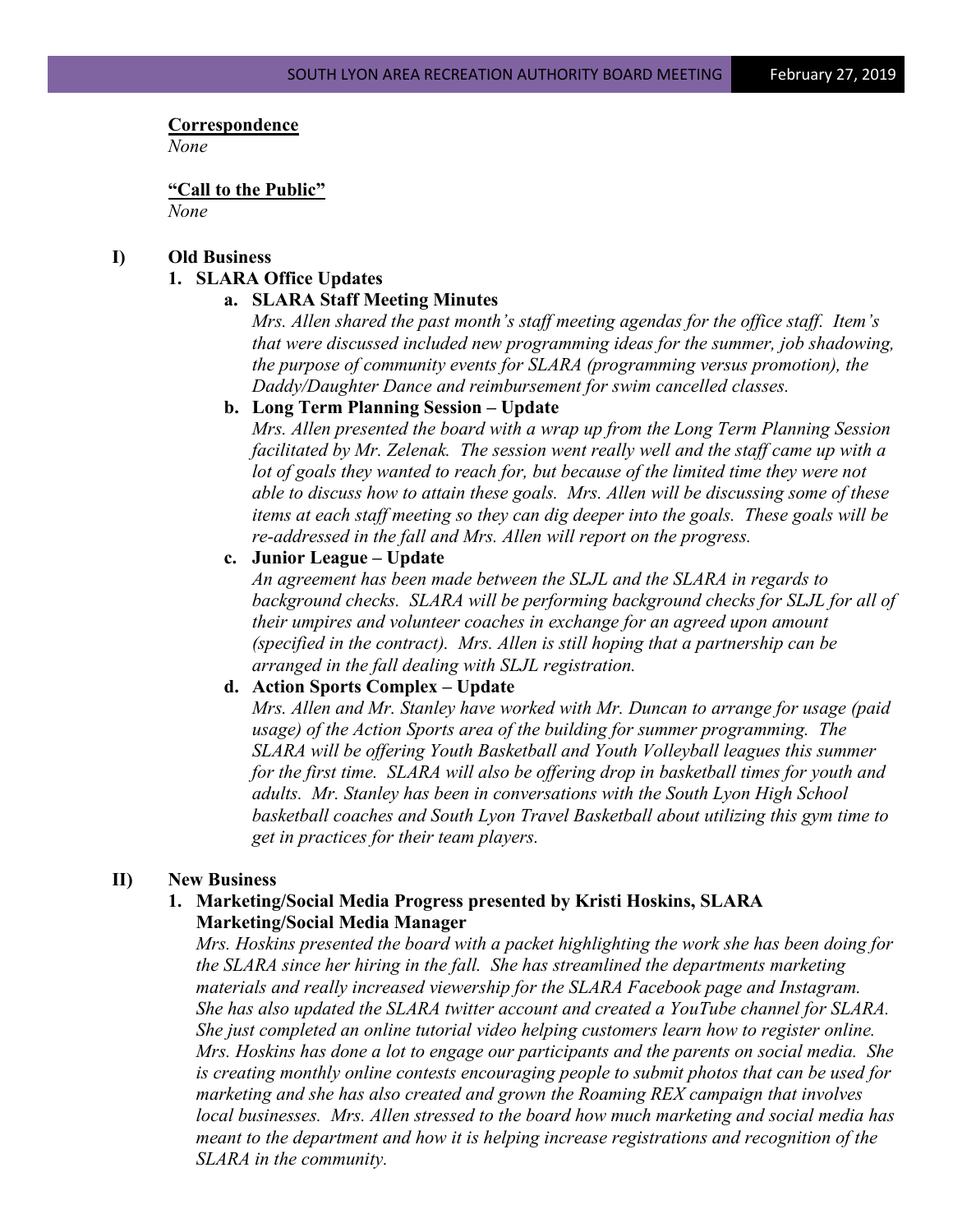#### **Correspondence**

*None*

**"Call to the Public"** *None*

#### **I) Old Business**

## **1. SLARA Office Updates**

## **a. SLARA Staff Meeting Minutes**

*Mrs. Allen shared the past month's staff meeting agendas for the office staff. Item's that were discussed included new programming ideas for the summer, job shadowing, the purpose of community events for SLARA (programming versus promotion), the Daddy/Daughter Dance and reimbursement for swim cancelled classes.*

#### **b. Long Term Planning Session – Update**

*Mrs. Allen presented the board with a wrap up from the Long Term Planning Session facilitated by Mr. Zelenak. The session went really well and the staff came up with a lot of goals they wanted to reach for, but because of the limited time they were not able to discuss how to attain these goals. Mrs. Allen will be discussing some of these items at each staff meeting so they can dig deeper into the goals. These goals will be re-addressed in the fall and Mrs. Allen will report on the progress.*

#### **c. Junior League – Update**

*An agreement has been made between the SLJL and the SLARA in regards to background checks. SLARA will be performing background checks for SLJL for all of their umpires and volunteer coaches in exchange for an agreed upon amount (specified in the contract). Mrs. Allen is still hoping that a partnership can be arranged in the fall dealing with SLJL registration.*

## **d. Action Sports Complex – Update**

*Mrs. Allen and Mr. Stanley have worked with Mr. Duncan to arrange for usage (paid usage) of the Action Sports area of the building for summer programming. The SLARA will be offering Youth Basketball and Youth Volleyball leagues this summer for the first time. SLARA will also be offering drop in basketball times for youth and adults. Mr. Stanley has been in conversations with the South Lyon High School basketball coaches and South Lyon Travel Basketball about utilizing this gym time to get in practices for their team players.* 

#### **II) New Business**

## **1. Marketing/Social Media Progress presented by Kristi Hoskins, SLARA Marketing/Social Media Manager**

*Mrs. Hoskins presented the board with a packet highlighting the work she has been doing for the SLARA since her hiring in the fall. She has streamlined the departments marketing materials and really increased viewership for the SLARA Facebook page and Instagram. She has also updated the SLARA twitter account and created a YouTube channel for SLARA. She just completed an online tutorial video helping customers learn how to register online. Mrs. Hoskins has done a lot to engage our participants and the parents on social media. She is creating monthly online contests encouraging people to submit photos that can be used for marketing and she has also created and grown the Roaming REX campaign that involves local businesses. Mrs. Allen stressed to the board how much marketing and social media has meant to the department and how it is helping increase registrations and recognition of the SLARA in the community.*